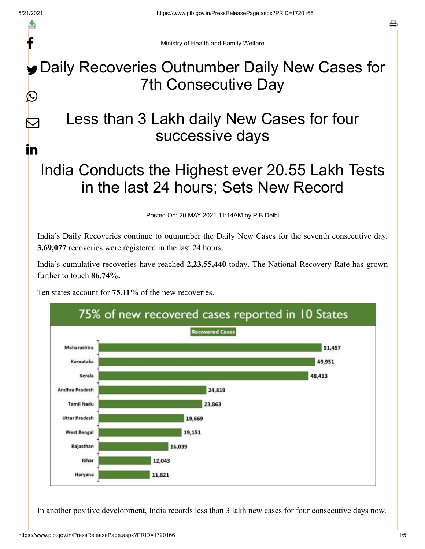f

 $\bm \nabla$ 

in

a

Ministry of Health and Family Welfare

## Daily Recoveries Outnumber Daily New Cases for 7th Consecutive Day  $\bigcirc$

## Less than 3 Lakh daily New Cases for four successive days

## India Conducts the Highest ever 20.55 Lakh Tests in the last 24 hours; Sets New Record

Posted On: 20 MAY 2021 11:14AM by PIB Delhi

India's Daily Recoveries continue to outnumber the Daily New Cases for the seventh consecutive day. **3,69,077** recoveries were registered in the last 24 hours.

India's cumulative recoveries have reached **2,23,55,440** today. The National Recovery Rate has grown further to touch **86.74%.**

Ten states account for **75.11%** of the new recoveries.



In another positive development, India records less than 3 lakh new cases for four consecutive days now.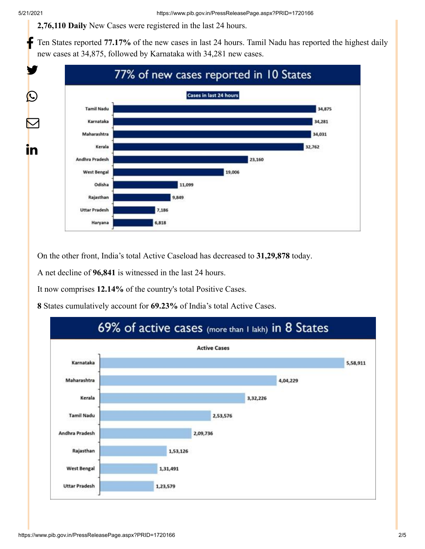**2,76,110 Daily** New Cases were registered in the last 24 hours.

Ten States reported **77.17%** of the new cases in last 24 hours. Tamil Nadu has reported the highest daily new cases at 34,875, followed by Karnataka with 34,281 new cases. f



On the other front, India's total Active Caseload has decreased to **31,29,878** today.

A net decline of **96,841** is witnessed in the last 24 hours.

It now comprises **12.14%** of the country's total Positive Cases.

**8** States cumulatively account for **69.23%** of India's total Active Cases.

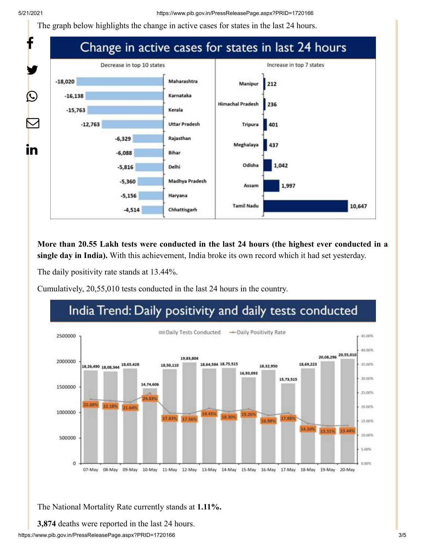The graph below highlights the change in active cases for states in the last 24 hours.



**More than 20.55 Lakh tests were conducted in the last 24 hours (the highest ever conducted in a single day in India).** With this achievement, India broke its own record which it had set yesterday.

The daily positivity rate stands at 13.44%.

Cumulatively, 20,55,010 tests conducted in the last 24 hours in the country.

## India Trend: Daily positivity and daily tests conducted



The National Mortality Rate currently stands at **1.11%.**

**3,874** deaths were reported in the last 24 hours.

https://www.pib.gov.in/PressReleasePage.aspx?PRID=1720166 3/5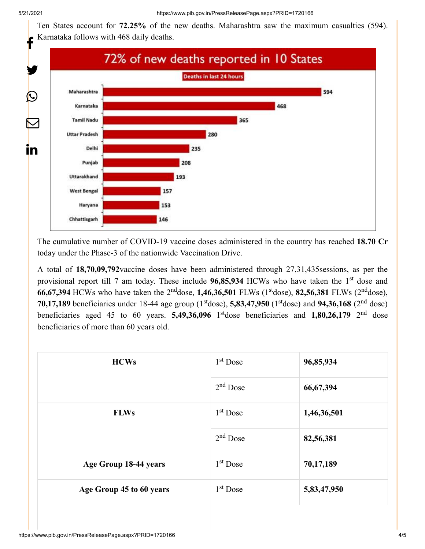Ten States account for **72.25%** of the new deaths. Maharashtra saw the maximum casualties (594). Karnataka follows with 468 daily deaths.



The cumulative number of COVID-19 vaccine doses administered in the country has reached **18.70 Cr** today under the Phase-3 of the nationwide Vaccination Drive.

A total of **18,70,09,792**vaccine doses have been administered through 27,31,435sessions, as per the provisional report till 7 am today. These include 96,85,934 HCWs who have taken the 1<sup>st</sup> dose and **66,67,394** HCWs who have taken the 2<sup>nd</sup>dose, 1,46,36,501 FLWs (1<sup>st</sup>dose), 82,56,381 FLWs (2<sup>nd</sup>dose), **70,17,189** beneficiaries under 18-44 age group ( $1<sup>st</sup>$ dose), **5,83,47,950** ( $1<sup>st</sup>$ dose) and **94,36,168** ( $2<sup>nd</sup>$  dose) beneficiaries aged 45 to 60 years. **5,49,36,096** 1<sup>st</sup>dose beneficiaries and **1,80,26,179** 2<sup>nd</sup> dose beneficiaries of more than 60 years old.

| <b>HCWs</b>              | $1st$ Dose | 96,85,934   |
|--------------------------|------------|-------------|
|                          | $2nd$ Dose | 66, 67, 394 |
| <b>FLWs</b>              | $1st$ Dose | 1,46,36,501 |
|                          | $2nd$ Dose | 82,56,381   |
| Age Group 18-44 years    | $1st$ Dose | 70,17,189   |
| Age Group 45 to 60 years | $1st$ Dose | 5,83,47,950 |
|                          |            |             |